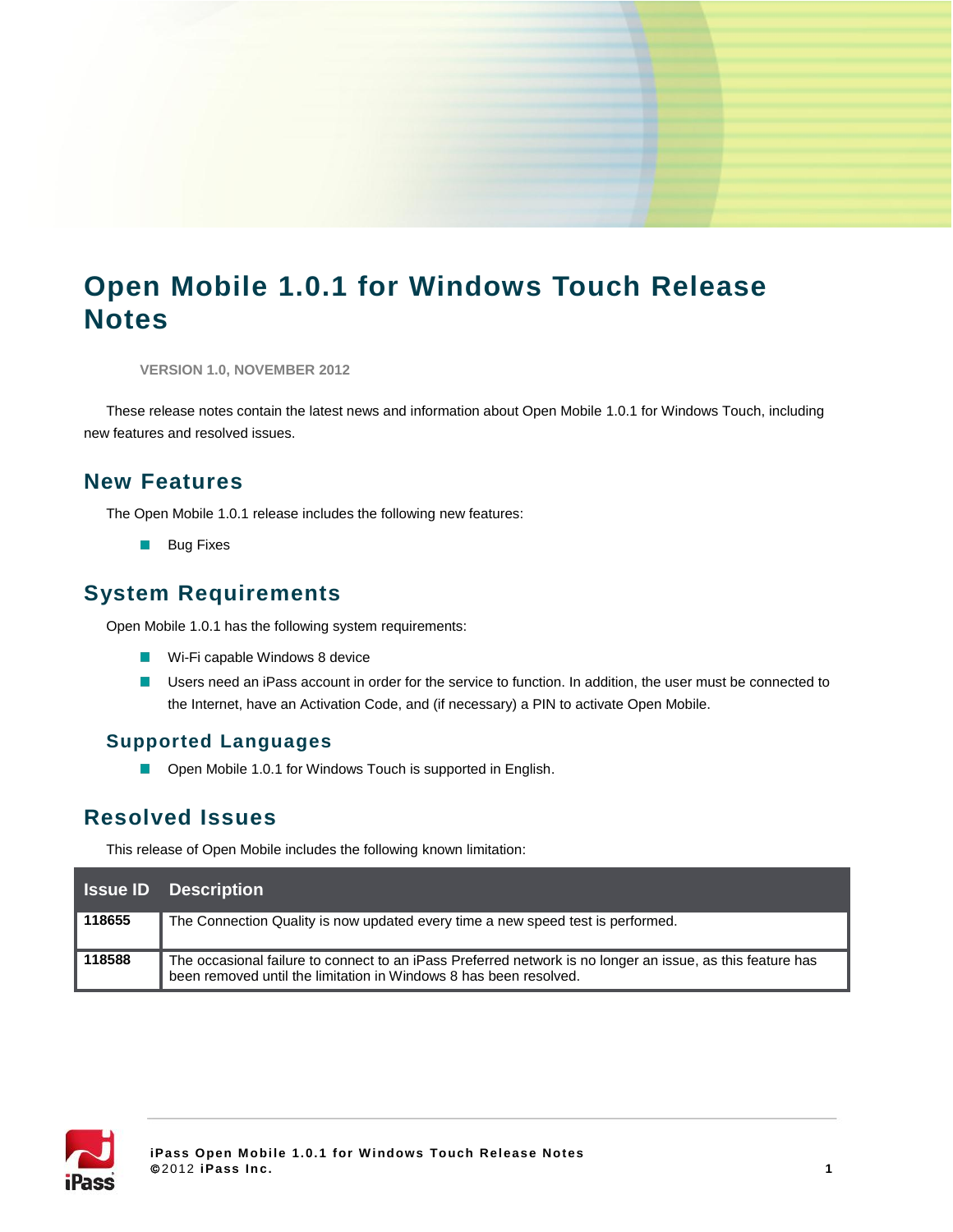# **Open Mobile 1.0.1 for Windows Touch Release Notes**

**VERSION 1.0, NOVEMBER 2012**

These release notes contain the latest news and information about Open Mobile 1.0.1 for Windows Touch, including new features and resolved issues.

## **New Features**

The Open Mobile 1.0.1 release includes the following new features:

**Bug Fixes** 

## **System Requirements**

Open Mobile 1.0.1 has the following system requirements:

- **Wi-Fi capable Windows 8 device**
- Users need an iPass account in order for the service to function. In addition, the user must be connected to the Internet, have an Activation Code, and (if necessary) a PIN to activate Open Mobile.

#### **Supported Languages**

 $\mathcal{L}_{\mathcal{A}}$ Open Mobile 1.0.1 for Windows Touch is supported in English.

## **Resolved Issues**

This release of Open Mobile includes the following known limitation:

|        | <b>Issue ID</b> Description                                                                                                                                                     |
|--------|---------------------------------------------------------------------------------------------------------------------------------------------------------------------------------|
| 118655 | The Connection Quality is now updated every time a new speed test is performed.                                                                                                 |
| 118588 | The occasional failure to connect to an iPass Preferred network is no longer an issue, as this feature has<br>been removed until the limitation in Windows 8 has been resolved. |